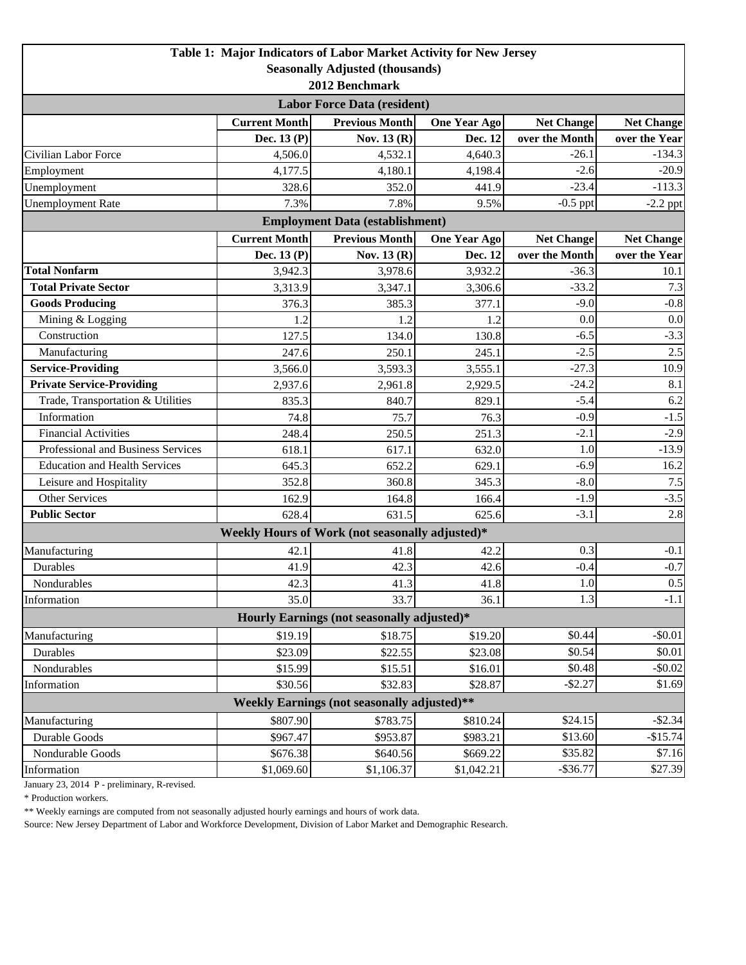| <b>Seasonally Adjusted (thousands)</b><br>2012 Benchmark<br><b>Labor Force Data (resident)</b> | <b>Net Change</b><br>over the Month<br>$-26.1$ | <b>Net Change</b> |  |  |  |  |  |
|------------------------------------------------------------------------------------------------|------------------------------------------------|-------------------|--|--|--|--|--|
|                                                                                                |                                                |                   |  |  |  |  |  |
|                                                                                                |                                                |                   |  |  |  |  |  |
|                                                                                                |                                                |                   |  |  |  |  |  |
| <b>Current Month</b><br><b>Previous Month</b><br><b>One Year Ago</b>                           |                                                |                   |  |  |  |  |  |
| Dec. 13 (P)<br>Nov. 13 (R)<br>Dec. 12                                                          |                                                | over the Year     |  |  |  |  |  |
| 4,640.3<br>Civilian Labor Force<br>4,506.0<br>4,532.1                                          |                                                | $-134.3$          |  |  |  |  |  |
| Employment<br>4,177.5<br>4,180.1<br>4,198.4                                                    | $-2.6$                                         | $-20.9$           |  |  |  |  |  |
| 352.0<br>441.9<br>Unemployment<br>328.6                                                        | $-23.4$                                        | $-113.3$          |  |  |  |  |  |
| 7.3%<br>7.8%<br><b>Unemployment Rate</b><br>9.5%                                               | $-0.5$ ppt                                     | $-2.2$ ppt        |  |  |  |  |  |
| <b>Employment Data (establishment)</b>                                                         |                                                |                   |  |  |  |  |  |
| <b>Current Month</b><br><b>Previous Month</b><br><b>One Year Ago</b>                           | <b>Net Change</b>                              | <b>Net Change</b> |  |  |  |  |  |
| Nov. 13 (R)<br>Dec. 13 (P)<br>Dec. 12                                                          | over the Month                                 | over the Year     |  |  |  |  |  |
| <b>Total Nonfarm</b><br>3,942.3<br>3,978.6<br>3,932.2                                          | $-36.3$                                        | 10.1              |  |  |  |  |  |
| <b>Total Private Sector</b><br>3,313.9<br>3,347.1<br>3,306.6                                   | $-33.2$                                        | 7.3               |  |  |  |  |  |
| <b>Goods Producing</b><br>376.3<br>385.3<br>377.1                                              | $-9.0$                                         | $-0.8$            |  |  |  |  |  |
| Mining & Logging<br>1.2<br>1.2<br>1.2                                                          | 0.0                                            | 0.0               |  |  |  |  |  |
| Construction<br>127.5<br>134.0<br>130.8                                                        | $-6.5$                                         | $-3.3$            |  |  |  |  |  |
| Manufacturing<br>245.1<br>247.6<br>250.1                                                       | $-2.5$                                         | 2.5               |  |  |  |  |  |
| <b>Service-Providing</b><br>3,593.3<br>3,566.0<br>3,555.1                                      | $-27.3$                                        | 10.9              |  |  |  |  |  |
| <b>Private Service-Providing</b><br>2,937.6<br>2,961.8<br>2,929.5                              | $-24.2$                                        | 8.1               |  |  |  |  |  |
| Trade, Transportation & Utilities<br>835.3<br>840.7<br>829.1                                   | $-5.4$                                         | 6.2               |  |  |  |  |  |
| Information<br>74.8<br>75.7<br>76.3                                                            | $-0.9$                                         | $-1.5$            |  |  |  |  |  |
| <b>Financial Activities</b><br>248.4<br>250.5<br>251.3                                         | $-2.1$                                         | $-2.9$            |  |  |  |  |  |
| Professional and Business Services<br>618.1<br>617.1<br>632.0                                  | 1.0                                            | $-13.9$           |  |  |  |  |  |
| <b>Education and Health Services</b><br>652.2<br>629.1<br>645.3                                | $-6.9$                                         | 16.2              |  |  |  |  |  |
| Leisure and Hospitality<br>352.8<br>360.8<br>345.3                                             | $-8.0$                                         | 7.5               |  |  |  |  |  |
| <b>Other Services</b><br>164.8<br>162.9<br>166.4                                               | $-1.9$                                         | $-3.5$            |  |  |  |  |  |
| <b>Public Sector</b><br>628.4<br>631.5<br>625.6                                                | $-3.1$                                         | 2.8               |  |  |  |  |  |
| Weekly Hours of Work (not seasonally adjusted)*                                                |                                                |                   |  |  |  |  |  |
| 42.1<br>41.8<br>Manufacturing<br>42.2                                                          | 0.3                                            | $-0.1$            |  |  |  |  |  |
| 42.3<br>Durables<br>41.9<br>42.6                                                               | $-0.4$                                         | $-0.7$            |  |  |  |  |  |
| 41.3<br>41.8<br>Nondurables<br>42.3                                                            | 1.0                                            | 0.5               |  |  |  |  |  |
| 35.0<br>Information<br>33.7<br>36.1                                                            | 1.3                                            | $-1.1$            |  |  |  |  |  |
| Hourly Earnings (not seasonally adjusted)*                                                     |                                                |                   |  |  |  |  |  |
| \$19.19<br>\$18.75<br>\$19.20<br>Manufacturing                                                 | \$0.44                                         | $-$0.01$          |  |  |  |  |  |
| \$22.55<br>Durables<br>\$23.09<br>\$23.08                                                      | \$0.54                                         | \$0.01            |  |  |  |  |  |
| Nondurables<br>\$15.99<br>\$15.51<br>\$16.01                                                   | \$0.48                                         | $-$0.02$          |  |  |  |  |  |
| \$30.56<br>\$32.83<br>\$28.87<br>Information                                                   | $-$ \$2.27                                     | \$1.69            |  |  |  |  |  |
| Weekly Earnings (not seasonally adjusted)**                                                    |                                                |                   |  |  |  |  |  |
| \$807.90<br>\$783.75<br>\$24.15<br>$-$ \$2.34<br>\$810.24<br>Manufacturing                     |                                                |                   |  |  |  |  |  |
| \$967.47<br>Durable Goods<br>\$953.87<br>\$983.21                                              | \$13.60                                        | $-$15.74$         |  |  |  |  |  |
| Nondurable Goods<br>\$676.38<br>\$640.56<br>\$669.22                                           | \$35.82                                        | \$7.16            |  |  |  |  |  |
| Information<br>\$1,069.60<br>\$1,106.37<br>\$1,042.21                                          | $-$ \$36.77                                    | \$27.39           |  |  |  |  |  |

January 23, 2014 P - preliminary, R-revised.

\* Production workers.

\*\* Weekly earnings are computed from not seasonally adjusted hourly earnings and hours of work data.

Source: New Jersey Department of Labor and Workforce Development, Division of Labor Market and Demographic Research.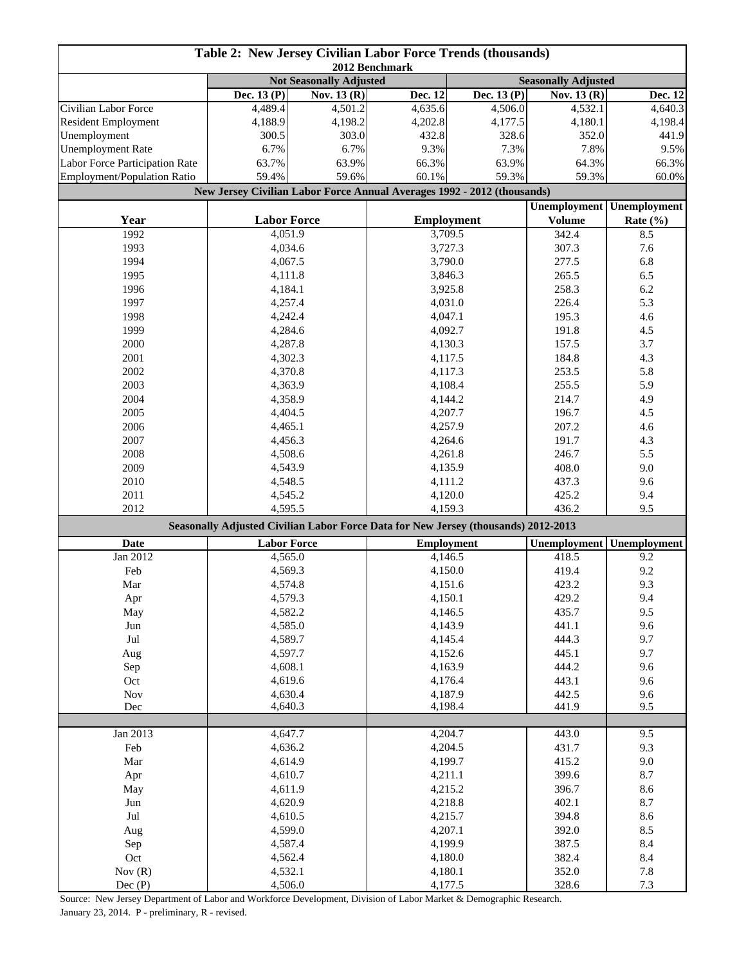| Table 2: New Jersey Civilian Labor Force Trends (thousands)<br>2012 Benchmark                 |                                                                         |             |                    |              |                     |                     |
|-----------------------------------------------------------------------------------------------|-------------------------------------------------------------------------|-------------|--------------------|--------------|---------------------|---------------------|
|                                                                                               | <b>Not Seasonally Adjusted</b><br><b>Seasonally Adjusted</b>            |             |                    |              |                     |                     |
|                                                                                               | Dec. 13 (P)                                                             | Nov. 13 (R) | Dec. 12            | Dec. $13(P)$ | Nov. 13 (R)         | Dec. 12             |
| Civilian Labor Force                                                                          | 4,489.4                                                                 | 4,501.2     | 4,635.6            | 4,506.0      | 4,532.1             | 4,640.3             |
| <b>Resident Employment</b>                                                                    | 4,188.9                                                                 | 4,198.2     | 4,202.8            | 4,177.5      | 4,180.1             | 4,198.4             |
| Unemployment                                                                                  | 300.5                                                                   | 303.0       | 432.8              | 328.6        | 352.0               | 441.9               |
| <b>Unemployment Rate</b>                                                                      | 6.7%                                                                    | 6.7%        | 9.3%               | 7.3%         | 7.8%                | 9.5%                |
| Labor Force Participation Rate                                                                | 63.7%                                                                   | 63.9%       | 66.3%              | 63.9%        | 64.3%               | 66.3%               |
| Employment/Population Ratio                                                                   | 59.4%                                                                   | 59.6%       | 60.1%              | 59.3%        | 59.3%               | 60.0%               |
|                                                                                               | New Jersey Civilian Labor Force Annual Averages 1992 - 2012 (thousands) |             |                    |              |                     |                     |
|                                                                                               |                                                                         |             |                    |              | <b>Unemployment</b> | <b>Unemployment</b> |
| Year                                                                                          | <b>Labor Force</b>                                                      |             | <b>Employment</b>  |              | <b>Volume</b>       | Rate $(\% )$        |
| 1992                                                                                          | 4,051.9                                                                 |             | 3,709.5            |              | 342.4               | 8.5                 |
| 1993                                                                                          | 4,034.6                                                                 |             | 3,727.3            |              | 307.3               | 7.6                 |
| 1994                                                                                          | 4,067.5                                                                 |             | 3,790.0            |              | 277.5               | 6.8                 |
| 1995                                                                                          | 4,111.8                                                                 |             | 3,846.3            |              | 265.5               | 6.5                 |
| 1996                                                                                          | 4,184.1                                                                 |             | 3,925.8            |              | 258.3               | 6.2                 |
| 1997                                                                                          | 4,257.4                                                                 |             | 4,031.0            |              | 226.4               | 5.3                 |
| 1998                                                                                          | 4,242.4                                                                 |             | 4,047.1            |              | 195.3               | 4.6                 |
| 1999                                                                                          | 4,284.6                                                                 |             | 4,092.7            |              | 191.8               | 4.5                 |
| 2000                                                                                          | 4,287.8                                                                 |             | 4,130.3            |              | 157.5               | 3.7                 |
| 2001                                                                                          | 4,302.3                                                                 |             | 4,117.5            |              | 184.8               | 4.3                 |
| 2002                                                                                          | 4,370.8                                                                 |             | 4,117.3            |              | 253.5               | 5.8                 |
| 2003                                                                                          | 4,363.9                                                                 |             |                    |              | 255.5               | 5.9                 |
| 2004                                                                                          | 4,358.9                                                                 |             | 4,108.4<br>4,144.2 |              | 214.7               | 4.9                 |
| 2005                                                                                          |                                                                         |             |                    |              | 196.7               | 4.5                 |
| 2006                                                                                          | 4,404.5<br>4,465.1                                                      |             | 4,207.7<br>4,257.9 |              | 207.2               | 4.6                 |
| 2007                                                                                          | 4,456.3                                                                 |             | 4,264.6            |              | 191.7               | 4.3                 |
| 2008                                                                                          | 4,508.6                                                                 |             | 4,261.8            |              | 246.7               | 5.5                 |
| 2009                                                                                          | 4,543.9                                                                 |             | 4,135.9            |              | 408.0               | 9.0                 |
| 2010                                                                                          | 4,548.5                                                                 |             | 4,111.2            |              | 437.3               | 9.6                 |
| 2011                                                                                          | 4,545.2                                                                 |             | 4,120.0            |              | 425.2               | 9.4                 |
| 2012                                                                                          |                                                                         |             | 4,159.3            |              | 436.2               | 9.5                 |
| 4,595.5<br>Seasonally Adjusted Civilian Labor Force Data for New Jersey (thousands) 2012-2013 |                                                                         |             |                    |              |                     |                     |
| <b>Date</b>                                                                                   | <b>Labor Force</b>                                                      |             | <b>Employment</b>  |              | Unemployment        | Unemployment        |
| Jan 2012                                                                                      | 4,565.0                                                                 |             | 4,146.5            |              | 418.5               | 9.2                 |
| Feb                                                                                           | 4,569.3                                                                 |             |                    |              | 419.4               | 9.2                 |
| Mar                                                                                           | 4,574.8                                                                 |             | 4,150.0<br>4,151.6 |              | 423.2               | 9.3                 |
| Apr                                                                                           | 4,579.3                                                                 |             | 4,150.1            |              | 429.2               | 9.4                 |
|                                                                                               | 4,582.2                                                                 |             |                    |              | 435.7               | 9.5                 |
| May<br>$\operatorname{Jun}$                                                                   | 4,585.0                                                                 |             | 4,146.5            |              | 441.1               | 9.6                 |
| $\mathrm{Jul}$                                                                                |                                                                         |             | 4,143.9            |              | 444.3               | 9.7                 |
|                                                                                               | 4,589.7<br>4,597.7                                                      |             | 4,145.4            |              | 445.1               | 9.7                 |
| Aug                                                                                           |                                                                         |             | 4,152.6            |              | 444.2               | 9.6                 |
| Sep                                                                                           | 4,608.1                                                                 |             | 4,163.9            |              | 443.1               | 9.6                 |
| Oct<br>Nov                                                                                    | 4,619.6<br>4,630.4                                                      |             | 4,176.4            |              | 442.5               | 9.6                 |
| Dec                                                                                           | 4,640.3                                                                 |             | 4,187.9<br>4,198.4 |              | 441.9               | 9.5                 |
|                                                                                               |                                                                         |             |                    |              |                     |                     |
| Jan 2013                                                                                      | 4,647.7                                                                 |             | 4,204.7            |              | 443.0               | 9.5                 |
| Feb                                                                                           | 4,636.2                                                                 |             |                    |              | 431.7               | 9.3                 |
| Mar                                                                                           | 4,614.9                                                                 |             | 4,204.5<br>4,199.7 |              | 415.2               | 9.0                 |
| Apr                                                                                           |                                                                         |             | 4,211.1            |              | 399.6               | 8.7                 |
| May                                                                                           | 4,610.7<br>4,611.9                                                      |             | 4,215.2            |              | 396.7               | 8.6                 |
| Jun                                                                                           | 4,620.9                                                                 |             | 4,218.8            |              | 402.1               | 8.7                 |
| $_{\rm{Jul}}$                                                                                 | 4,610.5                                                                 |             | 4,215.7            |              | 394.8               | 8.6                 |
| Aug                                                                                           | 4,599.0                                                                 |             | 4,207.1            |              | 392.0               | 8.5                 |
| Sep                                                                                           | 4,587.4                                                                 |             | 4,199.9            |              | 387.5               | 8.4                 |
| Oct                                                                                           | 4,562.4                                                                 |             | 4,180.0            |              | 382.4               | 8.4                 |
| Nov $(R)$                                                                                     | 4,532.1                                                                 |             | 4,180.1            |              | 352.0               | $7.8\,$             |
| Dec(P)                                                                                        | 4,506.0                                                                 |             | 4,177.5            |              | 328.6               | $7.3\,$             |

Source: New Jersey Department of Labor and Workforce Development, Division of Labor Market & Demographic Research. January 23, 2014. P - preliminary, R - revised.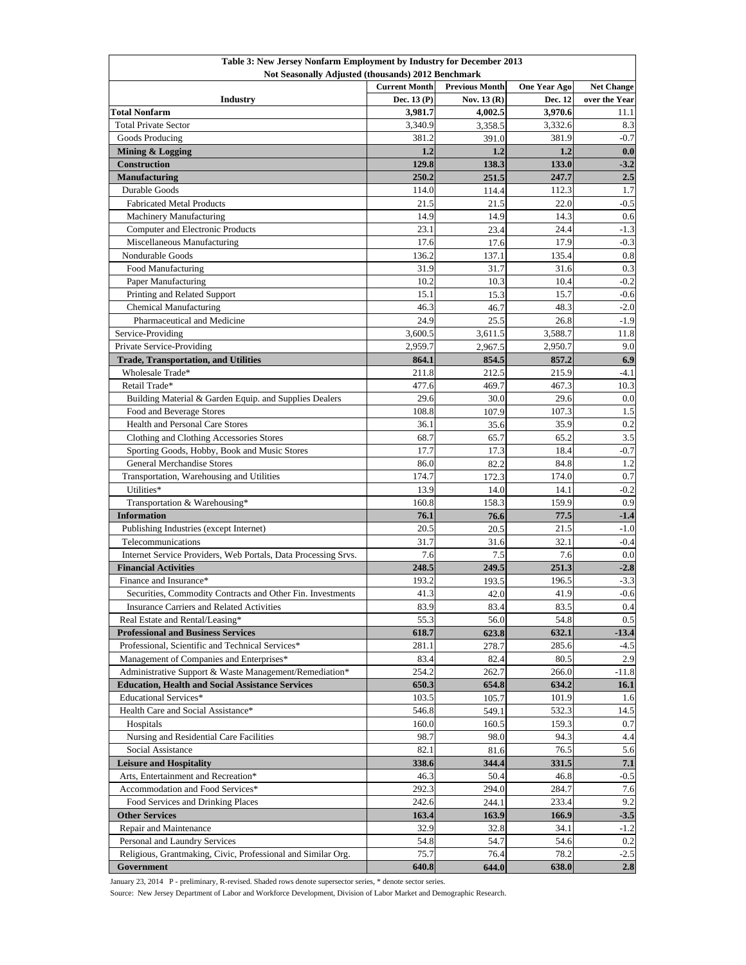| Table 3: New Jersey Nonfarm Employment by Industry for December 2013 |                      |                       |                     |                   |  |
|----------------------------------------------------------------------|----------------------|-----------------------|---------------------|-------------------|--|
| Not Seasonally Adjusted (thousands) 2012 Benchmark                   |                      |                       |                     |                   |  |
|                                                                      | <b>Current Month</b> | <b>Previous Month</b> | <b>One Year Ago</b> | <b>Net Change</b> |  |
| <b>Industry</b>                                                      | Dec. $13(P)$         | Nov. $13(R)$          | Dec. 12             | over the Year     |  |
| <b>Total Nonfarm</b>                                                 | 3,981.7              | 4,002.5               | 3,970.6             | 11.1              |  |
| <b>Total Private Sector</b>                                          | 3,340.9              | 3,358.5               | 3,332.6             | 8.3               |  |
| Goods Producing                                                      | 381.2                | 391.0                 | 381.9               | $-0.7$            |  |
| Mining & Logging                                                     | 1.2                  | 1,2                   | 1.2                 | 0.0               |  |
| <b>Construction</b>                                                  | 129.8                | 138.3                 | 133.0               | $-3.2$            |  |
| <b>Manufacturing</b>                                                 | 250.2                | 251.5                 | 247.7               | 2.5               |  |
| Durable Goods                                                        | 114.0                | 114.4                 | 112.3               | 1.7               |  |
| <b>Fabricated Metal Products</b>                                     | 21.5                 | 21.5                  | 22.0                | $-0.5$            |  |
| Machinery Manufacturing                                              | 14.9                 | 14.9                  | 14.3                | 0.6               |  |
| Computer and Electronic Products                                     | 23.1                 | 23.4                  | 24.4                | $-1.3$            |  |
| Miscellaneous Manufacturing                                          | 17.6                 | 17.6                  | 17.9                | $-0.3$            |  |
| Nondurable Goods                                                     | 136.2                | 137.1                 | 135.4               | 0.8               |  |
| Food Manufacturing                                                   | 31.9                 | 31.7                  | 31.6                | 0.3               |  |
| Paper Manufacturing                                                  | 10.2                 | 10.3                  | 10.4                | $-0.2$            |  |
| Printing and Related Support                                         | 15.1                 | 15.3                  | 15.7                | $-0.6$            |  |
| <b>Chemical Manufacturing</b>                                        | 46.3                 | 46.7                  | 48.3                | $-2.0$            |  |
| Pharmaceutical and Medicine                                          | 24.9                 | 25.5                  | 26.8                | $-1.9$            |  |
| Service-Providing                                                    | 3,600.5              | 3,611.5               | 3,588.7             | 11.8              |  |
| Private Service-Providing                                            | 2,959.7              | 2,967.5               | 2,950.7             | 9.0               |  |
| <b>Trade, Transportation, and Utilities</b>                          | 864.1                | 854.5                 | 857.2               | 6.9               |  |
| Wholesale Trade*                                                     | 211.8                | 212.5                 | 215.9               | $-4.1$            |  |
| Retail Trade*                                                        | 477.6                | 469.7                 | 467.3               | 10.3              |  |
| Building Material & Garden Equip. and Supplies Dealers               | 29.6                 | 30.0                  | 29.6                | 0.0               |  |
| Food and Beverage Stores                                             | 108.8                | 107.9                 | 107.3               | 1.5               |  |
| Health and Personal Care Stores                                      | 36.1                 | 35.6                  | 35.9                | 0.2               |  |
| Clothing and Clothing Accessories Stores                             | 68.7                 | 65.7                  | 65.2                | 3.5               |  |
| Sporting Goods, Hobby, Book and Music Stores                         | 17.7                 |                       | 18.4                | $-0.7$            |  |
| General Merchandise Stores                                           | 86.0                 | 17.3<br>82.2          | 84.8                | 1.2               |  |
| Transportation, Warehousing and Utilities                            | 174.7                | 172.3                 | 174.0               | 0.7               |  |
| Utilities*                                                           | 13.9                 | 14.0                  | 14.1                | $-0.2$            |  |
|                                                                      | 160.8                |                       | 159.9               | 0.9               |  |
| Transportation & Warehousing*                                        |                      | 158.3                 |                     |                   |  |
| <b>Information</b>                                                   | 76.1<br>20.5         | 76.6                  | 77.5<br>21.5        | $-1.4$<br>$-1.0$  |  |
| Publishing Industries (except Internet)                              |                      | 20.5                  |                     |                   |  |
| Telecommunications                                                   | 31.7                 | 31.6                  | 32.1                | $-0.4$            |  |
| Internet Service Providers, Web Portals, Data Processing Srvs.       | 7.6                  | 7.5                   | 7.6                 | 0.0               |  |
| <b>Financial Activities</b>                                          | 248.5                | 249.5                 | 251.3               | $-2.8$            |  |
| Finance and Insurance*                                               | 193.2                | 193.5                 | 196.5               | $-3.3$            |  |
| Securities, Commodity Contracts and Other Fin. Investments           | 41.3                 | 42.0                  | 41.9                | $-0.6$            |  |
| Insurance Carriers and Related Activities                            | 83.9                 | 83.4                  | 83.5                | 0.4               |  |
| Real Estate and Rental/Leasing*                                      | 55.3                 | 56.0                  | 54.8                | 0.5               |  |
| <b>Professional and Business Services</b>                            | 618.7                | 623.8                 | 632.1               | $-13.4$           |  |
| Professional, Scientific and Technical Services*                     | 281.1                | 278.7                 | 285.6               | $-4.5$            |  |
| Management of Companies and Enterprises*                             | 83.4                 | 82.4                  | 80.5                | 2.9               |  |
| Administrative Support & Waste Management/Remediation*               | 254.2                | 262.7                 | 266.0               | $-11.8$           |  |
| <b>Education, Health and Social Assistance Services</b>              | 650.3                | 654.8                 | 634.2               | 16.1              |  |
| Educational Services*                                                | 103.5                | 105.7                 | 101.9               | 1.6               |  |
| Health Care and Social Assistance*                                   | 546.8                | 549.1                 | 532.3               | 14.5              |  |
| Hospitals                                                            | 160.0                | 160.5                 | 159.3               | 0.7               |  |
| Nursing and Residential Care Facilities                              | 98.7                 | 98.0                  | 94.3                | 4.4               |  |
| Social Assistance                                                    | 82.1                 | 81.6                  | 76.5                | 5.6               |  |
| <b>Leisure and Hospitality</b>                                       | 338.6                | 344.4                 | 331.5               | 7.1               |  |
| Arts, Entertainment and Recreation*                                  | 46.3                 | 50.4                  | 46.8                | $-0.5$            |  |
| Accommodation and Food Services*                                     | 292.3                | 294.0                 | 284.7               | 7.6               |  |
| Food Services and Drinking Places                                    | 242.6                | 244.1                 | 233.4               | 9.2               |  |
| <b>Other Services</b>                                                | 163.4                | 163.9                 | 166.9               | $-3.5$            |  |
| Repair and Maintenance                                               | 32.9                 | 32.8                  | 34.1                | $-1.2$            |  |
| Personal and Laundry Services                                        | 54.8                 | 54.7                  | 54.6                | 0.2               |  |
| Religious, Grantmaking, Civic, Professional and Similar Org.         | 75.7                 | 76.4                  | 78.2                | $-2.5$            |  |
| Government                                                           | 640.8                | 644.0                 | 638.0               | $2.8$             |  |

January 23, 2014 P - preliminary, R-revised. Shaded rows denote supersector series, \* denote sector series.

Source: New Jersey Department of Labor and Workforce Development, Division of Labor Market and Demographic Research.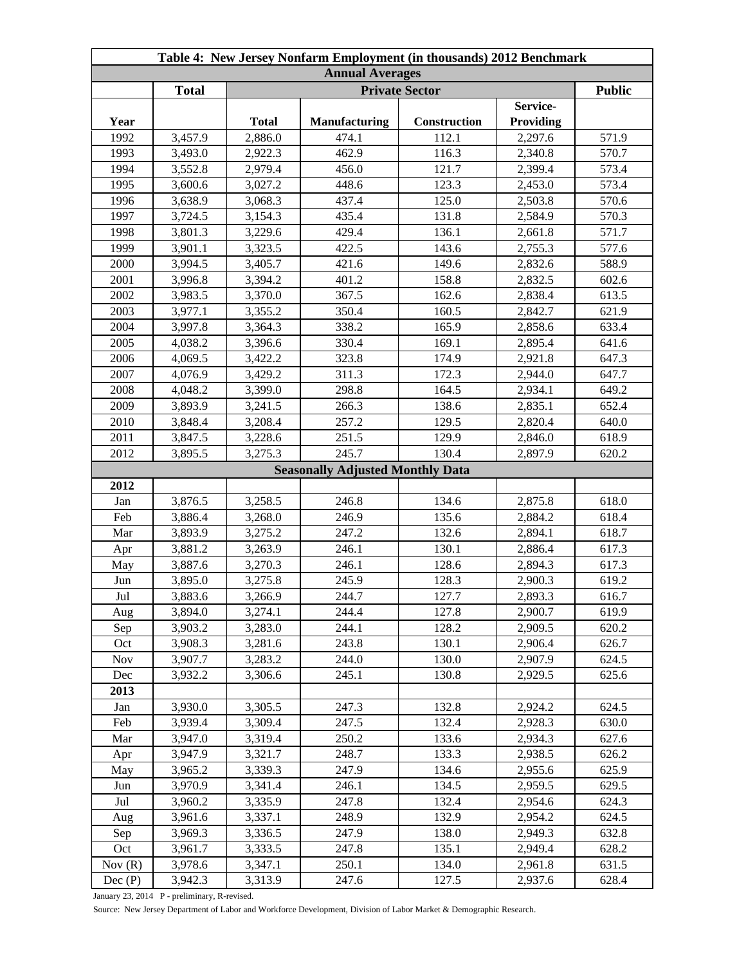| Table 4: New Jersey Nonfarm Employment (in thousands) 2012 Benchmark |                                                        |              |                                         |              |           |       |
|----------------------------------------------------------------------|--------------------------------------------------------|--------------|-----------------------------------------|--------------|-----------|-------|
| <b>Annual Averages</b>                                               |                                                        |              |                                         |              |           |       |
|                                                                      | <b>Public</b><br><b>Total</b><br><b>Private Sector</b> |              |                                         |              |           |       |
|                                                                      |                                                        |              |                                         |              | Service-  |       |
| Year                                                                 |                                                        | <b>Total</b> | <b>Manufacturing</b>                    | Construction | Providing |       |
| 1992                                                                 | 3,457.9                                                | 2,886.0      | 474.1                                   | 112.1        | 2,297.6   | 571.9 |
| 1993                                                                 | 3,493.0                                                | 2,922.3      | 462.9                                   | 116.3        | 2,340.8   | 570.7 |
| 1994                                                                 | 3,552.8                                                | 2,979.4      | 456.0                                   | 121.7        | 2,399.4   | 573.4 |
| 1995                                                                 | 3,600.6                                                | 3,027.2      | 448.6                                   | 123.3        | 2,453.0   | 573.4 |
| 1996                                                                 | 3,638.9                                                | 3,068.3      | 437.4                                   | 125.0        | 2,503.8   | 570.6 |
| 1997                                                                 | 3,724.5                                                | 3,154.3      | 435.4                                   | 131.8        | 2,584.9   | 570.3 |
| 1998                                                                 | 3,801.3                                                | 3,229.6      | 429.4                                   | 136.1        | 2,661.8   | 571.7 |
| 1999                                                                 | 3,901.1                                                | 3,323.5      | 422.5                                   | 143.6        | 2,755.3   | 577.6 |
| 2000                                                                 | 3,994.5                                                | 3,405.7      | 421.6                                   | 149.6        | 2,832.6   | 588.9 |
| 2001                                                                 | 3,996.8                                                | 3,394.2      | 401.2                                   | 158.8        | 2,832.5   | 602.6 |
| 2002                                                                 | 3,983.5                                                | 3,370.0      | 367.5                                   | 162.6        | 2,838.4   | 613.5 |
| 2003                                                                 | 3,977.1                                                | 3,355.2      | 350.4                                   | 160.5        | 2,842.7   | 621.9 |
| 2004                                                                 | 3,997.8                                                | 3,364.3      | 338.2                                   | 165.9        | 2,858.6   | 633.4 |
| 2005                                                                 | 4,038.2                                                | 3,396.6      | 330.4                                   | 169.1        | 2,895.4   | 641.6 |
| 2006                                                                 | 4,069.5                                                | 3,422.2      | 323.8                                   | 174.9        | 2,921.8   | 647.3 |
| 2007                                                                 | 4,076.9                                                | 3,429.2      | 311.3                                   | 172.3        | 2,944.0   | 647.7 |
| 2008                                                                 | 4,048.2                                                | 3,399.0      | 298.8                                   | 164.5        | 2,934.1   | 649.2 |
| 2009                                                                 | 3,893.9                                                | 3,241.5      | 266.3                                   | 138.6        | 2,835.1   | 652.4 |
| 2010                                                                 | 3,848.4                                                | 3,208.4      | 257.2                                   | 129.5        | 2,820.4   | 640.0 |
| 2011                                                                 | 3,847.5                                                | 3,228.6      | 251.5                                   | 129.9        | 2,846.0   | 618.9 |
| 2012                                                                 | 3,895.5                                                | 3,275.3      | 245.7                                   | 130.4        | 2,897.9   | 620.2 |
|                                                                      |                                                        |              | <b>Seasonally Adjusted Monthly Data</b> |              |           |       |
| 2012                                                                 |                                                        |              |                                         |              |           |       |
| Jan                                                                  | 3,876.5                                                | 3,258.5      | 246.8                                   | 134.6        | 2,875.8   | 618.0 |
| Feb                                                                  | 3,886.4                                                | 3,268.0      | 246.9                                   | 135.6        | 2,884.2   | 618.4 |
| Mar                                                                  | 3,893.9                                                | 3,275.2      | 247.2                                   | 132.6        | 2,894.1   | 618.7 |
| Apr                                                                  | 3,881.2                                                | 3,263.9      | 246.1                                   | 130.1        | 2,886.4   | 617.3 |
| May                                                                  | 3,887.6                                                | 3,270.3      | 246.1                                   | 128.6        | 2,894.3   | 617.3 |
| Jun                                                                  | 3,895.0                                                | 3,275.8      | 245.9                                   | 128.3        | 2,900.3   | 619.2 |
| Jul                                                                  | 3,883.6                                                | 3,266.9      | 244.7                                   | 127.7        | 2,893.3   | 616.7 |
| Aug                                                                  | 3,894.0                                                | 3,274.1      | 244.4                                   | 127.8        | 2,900.7   | 619.9 |
| Sep                                                                  | 3,903.2                                                | 3,283.0      | 244.1                                   | 128.2        | 2,909.5   | 620.2 |
| Oct                                                                  | 3,908.3                                                | 3,281.6      | 243.8                                   | 130.1        | 2,906.4   | 626.7 |
| <b>Nov</b>                                                           | 3,907.7                                                | 3,283.2      | 244.0                                   | 130.0        | 2,907.9   | 624.5 |
| Dec                                                                  | 3,932.2                                                | 3,306.6      | 245.1                                   | 130.8        | 2,929.5   | 625.6 |
| 2013                                                                 |                                                        |              |                                         |              |           |       |
| Jan                                                                  | 3,930.0                                                | 3,305.5      | 247.3                                   | 132.8        | 2,924.2   | 624.5 |
| Feb                                                                  | 3,939.4                                                | 3,309.4      | 247.5                                   | 132.4        | 2,928.3   | 630.0 |
| Mar                                                                  | 3,947.0                                                | 3,319.4      | 250.2                                   | 133.6        | 2,934.3   | 627.6 |
| Apr                                                                  | 3,947.9                                                | 3,321.7      | 248.7                                   | 133.3        | 2,938.5   | 626.2 |
| May                                                                  | 3,965.2                                                | 3,339.3      | 247.9                                   | 134.6        | 2,955.6   | 625.9 |
| Jun                                                                  | 3,970.9                                                | 3,341.4      | 246.1                                   | 134.5        | 2,959.5   | 629.5 |
| Jul                                                                  | 3,960.2                                                | 3,335.9      | 247.8                                   | 132.4        | 2,954.6   | 624.3 |
| Aug                                                                  | 3,961.6                                                | 3,337.1      | 248.9                                   | 132.9        | 2,954.2   | 624.5 |
| Sep                                                                  | 3,969.3                                                | 3,336.5      | 247.9                                   | 138.0        | 2,949.3   | 632.8 |
| Oct                                                                  | 3,961.7                                                | 3,333.5      | 247.8                                   | 135.1        | 2,949.4   | 628.2 |
| Nov $(R)$                                                            | 3,978.6                                                | 3,347.1      | 250.1                                   | 134.0        | 2,961.8   | 631.5 |
| Dec(P)                                                               | 3,942.3                                                | 3,313.9      | 247.6                                   | 127.5        | 2,937.6   | 628.4 |

January 23, 2014 P - preliminary, R-revised.

Source: New Jersey Department of Labor and Workforce Development, Division of Labor Market & Demographic Research.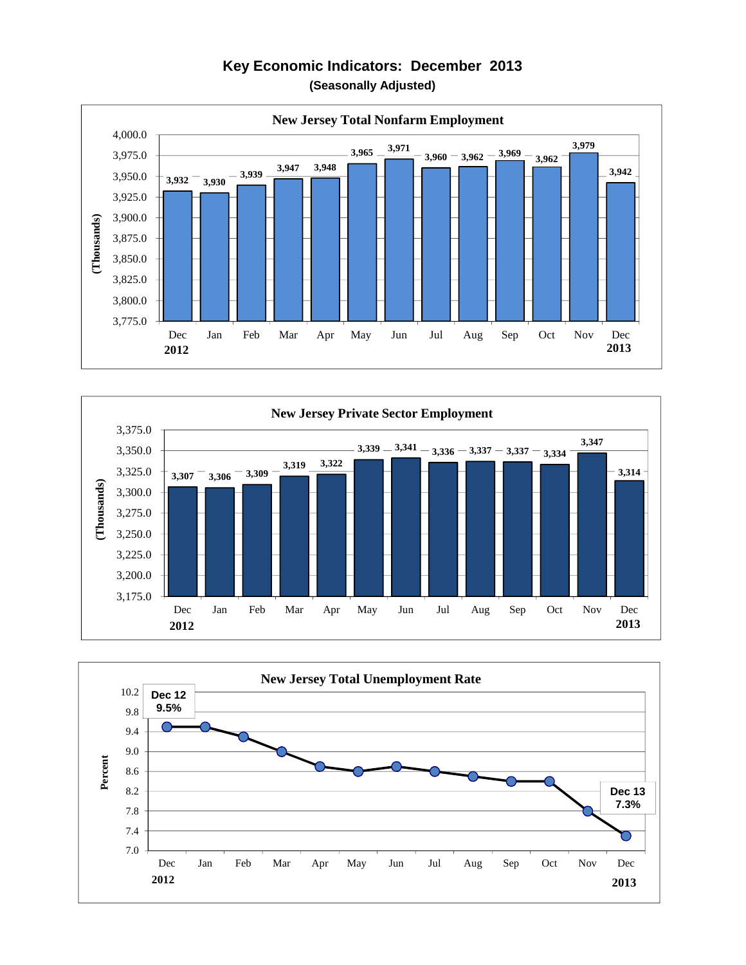